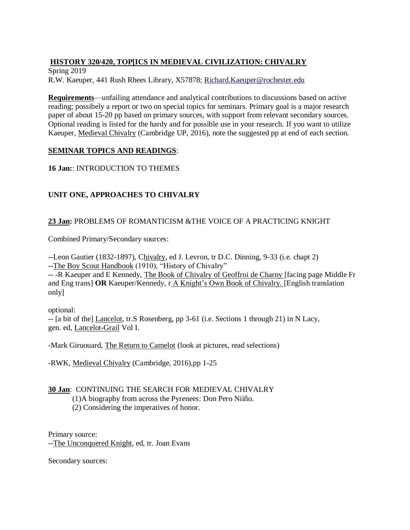# **HISTORY 320/420, TOP[ICS IN MEDIEVAL CIVILIZATION: CHIVALRY**

Spring 2019 R.W. Kaeuper, 441 Rush Rhees Library, X57878; [Richard.Kaeuper@rochester.edu](mailto:Richard.Kaeuper@rochester.edu)

**Requirements**—unfailing attendance and analytical contributions to discussions based on active reading; possibely a report or two on special topics for seminars. Primary goal is a major research paper of about 15-20 pp based on primary sources, with support from relevant secondary sources. Optional reading is listed for the hardy and for possible use in your research. If you want to utilize Kaeuper, Medieval Chivalry (Cambridge UP, 2016), note the suggested pp at end of each section.

## **SEMINAR TOPICS AND READINGS**:

**16 Jan:**: INTRODUCTION TO THEMES

# **UNIT ONE, APPROACHES TO CHIVALRY**

## **23 Jan:** PROBLEMS OF ROMANTICISM &THE VOICE OF A PRACTICING KNIGHT

Combined Primary/Secondary sources:

--Leon Gautier (1832-1897), Chivalry, ed J. Levron, tr D.C. Dinning, 9-33 (i.e. chapt 2) --The Boy Scout Handbook (1910), "History of Chivalry"

-- -R Kaeuper and E Kennedy, The Book of Chivalry of Geoffroi de Charny [facing page Middle Fr and Eng trans] **OR** Kaeuper/Kennedy, r A Knight's Own Book of Chivalry. [English translation only]

optional:

-- [a bit of the] Lancelot, tr.S Rosenberg, pp 3-61 (i.e. Sections 1 through 21) in N Lacy, gen. ed, Lancelot-Grail Vol I.

-Mark Giruouard, The Return to Camelot (look at pictures, read selections)

-RWK, Medieval Chivalry (Cambridge, 2016),pp 1-25

#### **30 Jan**: CONTINUING THE SEARCH FOR MEDIEVAL CHIVALRY

(1)A biography from across the Pyrenees: Don Pero Niiño.

(2) Considering the imperatives of honor.

Primary source:

--The Unconquered Knight, ed, tr. Joan Evans

Secondary sources: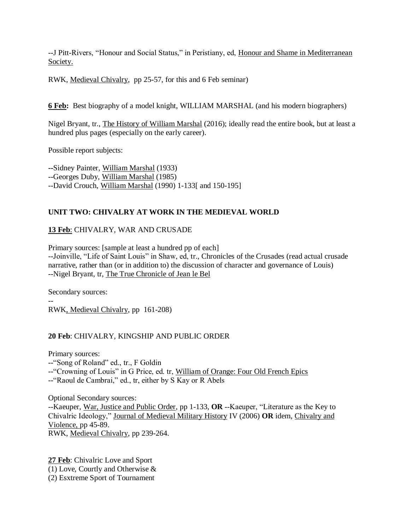--J Pitt-Rivers, "Honour and Social Status," in Peristiany, ed, Honour and Shame in Mediterranean Society.

RWK, Medieval Chivalry, pp 25-57, for this and 6 Feb seminar)

**6 Feb:** Best biography of a model knight, WILLIAM MARSHAL (and his modern biographers)

Nigel Bryant, tr., The History of William Marshal (2016); ideally read the entire book, but at least a hundred plus pages (especially on the early career).

Possible report subjects:

**--**Sidney Painter, William Marshal (1933) --Georges Duby, William Marshal (1985) --David Crouch, William Marshal (1990) 1-133[ and 150-195]

## **UNIT TWO: CHIVALRY AT WORK IN THE MEDIEVAL WORLD**

# **13 Feb**: CHIVALRY, WAR AND CRUSADE

Primary sources: [sample at least a hundred pp of each] --Joinville, "Life of Saint Louis" in Shaw, ed, tr., Chronicles of the Crusades (read actual crusade narrative, rather than (or in addition to) the discussion of character and governance of Louis) --Nigel Bryant, tr, The True Chronicle of Jean le Bel

Secondary sources:

-- RWK, Medieval Chivalry, pp 161-208)

#### **20 Feb**: CHIVALRY, KINGSHIP AND PUBLIC ORDER

Primary sources:

--"Song of Roland" ed., tr., F Goldin

--"Crowning of Louis" in G Price, ed. tr, William of Orange: Four Old French Epics

--"Raoul de Cambrai," ed., tr, either by S Kay or R Abels

Optional Secondary sources: --Kaeuper, War, Justice and Public Order, pp 1-133, **OR** --Kaeuper, "Literature as the Key to Chivalric Ideology," Journal of Medieval Military History IV (2006) **OR** idem, Chivalry and Violence, pp 45-89. RWK, Medieval Chivalry, pp 239-264.

**27 Feb**: Chivalric Love and Sport (1) Love, Courtly and Otherwise & (2) Esxtreme Sport of Tournament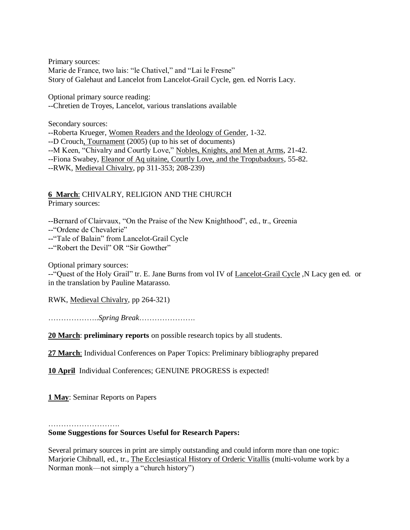Primary sources: Marie de France, two lais: "le Chativel," and "Lai le Fresne" Story of Galehaut and Lancelot from Lancelot-Grail Cycle, gen. ed Norris Lacy.

Optional primary source reading: --Chretien de Troyes, Lancelot, various translations available

Secondary sources:

--Roberta Krueger, Women Readers and the Ideology of Gender, 1-32. --D Crouch, Tournament (2005) (up to his set of documents)

--M Keen, "Chivalry and Courtly Love," Nobles, Knights, and Men at Arms, 21-42.

--Fiona Swabey, Eleanor of Aq uitaine, Courtly Love, and the Tropubadours, 55-82.

--RWK, Medieval Chivalry, pp 311-353; 208-239)

**6 March**: CHIVALRY, RELIGION AND THE CHURCH Primary sources:

--Bernard of Clairvaux, "On the Praise of the New Knighthood", ed., tr., Greenia

--"Ordene de Chevalerie"

--"Tale of Balain" from Lancelot-Grail Cycle

--"Robert the Devil" OR "Sir Gowther"

Optional primary sources:

--"Quest of the Holy Grail" tr. E. Jane Burns from vol IV of Lancelot-Grail Cycle, N Lacy gen ed. or in the translation by Pauline Matarasso.

RWK, Medieval Chivalry, pp 264-321)

………………..*Spring Break*………………….

**20 March**: **preliminary reports** on possible research topics by all students.

**27 March**: Individual Conferences on Paper Topics: Preliminary bibliography prepared

**10 April** Individual Conferences; GENUINE PROGRESS is expected!

**1 May**: Seminar Reports on Papers

……………………………………

**Some Suggestions for Sources Useful for Research Papers:** 

Several primary sources in print are simply outstanding and could inform more than one topic: Marjorie Chibnall, ed., tr., The Ecclesiastical History of Orderic Vitallis (multi-volume work by a Norman monk—not simply a "church history")